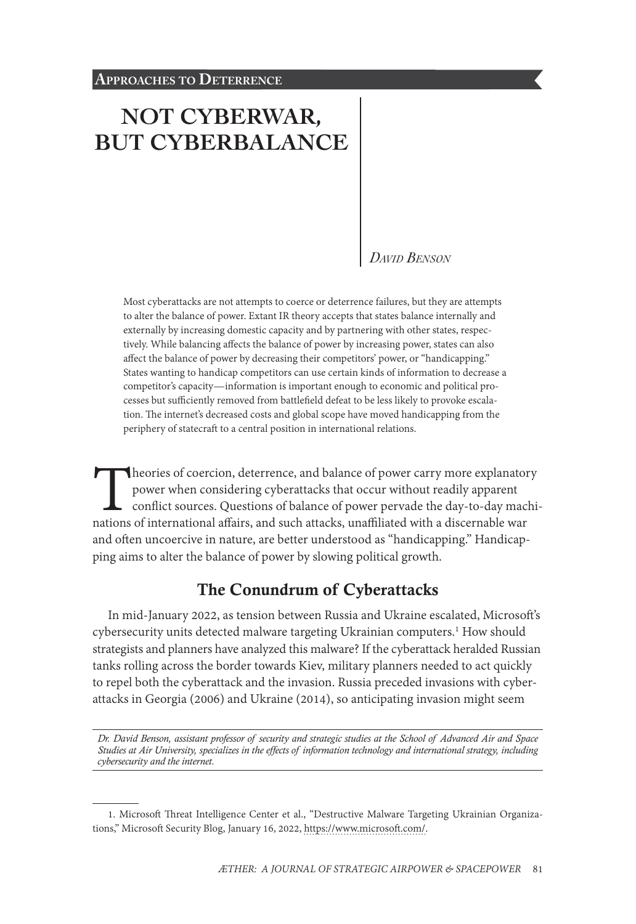# **[NOT CYBERWAR,](#page-0-0) [BUT CYBERBALANCE](#page-0-0)**

#### *David Benson*

Most cyberattacks are not attempts to coerce or deterrence failures, but they are attempts to alter the balance of power. Extant IR theory accepts that states balance internally and externally by increasing domestic capacity and by partnering with other states, respectively. While balancing affects the balance of power by increasing power, states can also affect the balance of power by decreasing their competitors' power, or "handicapping." States wanting to handicap competitors can use certain kinds of information to decrease a competitor's capacity—information is important enough to economic and political processes but sufficiently removed from battlefield defeat to be less likely to provoke escalation. The internet's decreased costs and global scope have moved handicapping from the periphery of statecraft to a central position in international relations.

Theories of coercion, deterrence, and balance of power carry more explanatory<br>power when considering cyberattacks that occur without readily apparent<br>conflict sources. Questions of balance of power pervade the day-to-day m power when considering cyberattacks that occur without readily apparent conflict sources. Questions of balance of power pervade the day-to-day machinations of international affairs, and such attacks, unaffiliated with a discernable war and often uncoercive in nature, are better understood as "handicapping." Handicapping aims to alter the balance of power by slowing political growth.

# The Conundrum of Cyberattacks

In mid-January 2022, as tension between Russia and Ukraine escalated, Microsoft's cybersecurity units detected malware targeting Ukrainian computers.<sup>1</sup> How should strategists and planners have analyzed this malware? If the cyberattack heralded Russian tanks rolling across the border towards Kiev, military planners needed to act quickly to repel both the cyberattack and the invasion. Russia preceded invasions with cyberattacks in Georgia (2006) and Ukraine (2014), so anticipating invasion might seem

*Dr. David Benson, assistant professor of security and strategic studies at the School of Advanced Air and Space Studies at Air University, specializes in the effects of information technology and international strategy, including cybersecurity and the internet.*

<span id="page-0-0"></span><sup>1.</sup> Microsoft Threat Intelligence Center et al., "Destructive Malware Targeting Ukrainian Organizations," Microsoft Security Blog, January 16, 2022, [https://www.microsoft.com/](https://www.microsoft.com/security/blog/2022/01/15/destructive-malware-targeting-ukrainian-organizations/).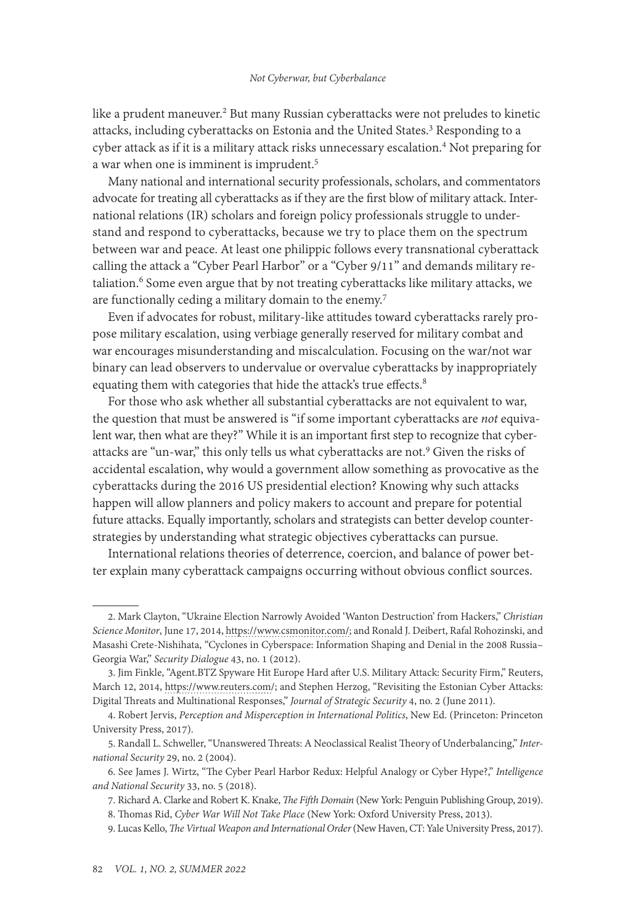like a prudent maneuver.<sup>2</sup> But many Russian cyberattacks were not preludes to kinetic attacks, including cyberattacks on Estonia and the United States.<sup>3</sup> Responding to a cyber attack as if it is a military attack risks unnecessary escalation.4 Not preparing for a war when one is imminent is imprudent.<sup>5</sup>

Many national and international security professionals, scholars, and commentators advocate for treating all cyberattacks as if they are the first blow of military attack. International relations (IR) scholars and foreign policy professionals struggle to understand and respond to cyberattacks, because we try to place them on the spectrum between war and peace. At least one philippic follows every transnational cyberattack calling the attack a "Cyber Pearl Harbor" or a "Cyber 9/11" and demands military retaliation.<sup>6</sup> Some even argue that by not treating cyberattacks like military attacks, we are functionally ceding a military domain to the enemy.<sup>7</sup>

Even if advocates for robust, military-like attitudes toward cyberattacks rarely propose military escalation, using verbiage generally reserved for military combat and war encourages misunderstanding and miscalculation. Focusing on the war/not war binary can lead observers to undervalue or overvalue cyberattacks by inappropriately equating them with categories that hide the attack's true effects.<sup>8</sup>

For those who ask whether all substantial cyberattacks are not equivalent to war, the question that must be answered is "if some important cyberattacks are *not* equivalent war, then what are they?" While it is an important first step to recognize that cyberattacks are "un-war," this only tells us what cyberattacks are not.9 Given the risks of accidental escalation, why would a government allow something as provocative as the cyberattacks during the 2016 US presidential election? Knowing why such attacks happen will allow planners and policy makers to account and prepare for potential future attacks. Equally importantly, scholars and strategists can better develop counterstrategies by understanding what strategic objectives cyberattacks can pursue.

International relations theories of deterrence, coercion, and balance of power better explain many cyberattack campaigns occurring without obvious conflict sources.

<sup>2.</sup> Mark Clayton, "Ukraine Election Narrowly Avoided 'Wanton Destruction' from Hackers," *Christian Science Monitor*, June 17, 2014, [https://www.csmonitor.com/;](https://www.csmonitor.com/World/Passcode/2014/0617/Ukraine-election-narrowly-avoided-wanton-destruction-from-hackers) and Ronald J. Deibert, Rafal Rohozinski, and Masashi Crete-Nishihata, "Cyclones in Cyberspace: Information Shaping and Denial in the 2008 Russia– Georgia War," *Security Dialogue* 43, no. 1 (2012).

<sup>3.</sup> Jim Finkle, "Agent.BTZ Spyware Hit Europe Hard after U.S. Military Attack: Security Firm," Reuters, March 12, 2014, [https://www.reuters.com/;](https://www.reuters.com/article/us-russia-cyberespionage/agent-btz-spyware-hit-europe-hard-after-u-s-military-attack-security-firm-idUSBREA2B25R20140312) and Stephen Herzog, "Revisiting the Estonian Cyber Attacks: Digital Threats and Multinational Responses," *Journal of Strategic Security* 4, no. 2 (June 2011).

<sup>4.</sup> Robert Jervis, *Perception and Misperception in International Politics*, New Ed. (Princeton: Princeton University Press, 2017).

<sup>5.</sup> Randall L. Schweller, "Unanswered Threats: A Neoclassical Realist Theory of Underbalancing," *International Security* 29, no. 2 (2004).

<sup>6.</sup> See James J. Wirtz, "The Cyber Pearl Harbor Redux: Helpful Analogy or Cyber Hype?," *Intelligence and National Security* 33, no. 5 (2018).

<sup>7.</sup> Richard A. Clarke and Robert K. Knake, *The Fifth Domain* (New York: Penguin Publishing Group, 2019). 8. Thomas Rid, *Cyber War Will Not Take Place* (New York: Oxford University Press, 2013).

<sup>9.</sup> Lucas Kello, *The Virtual Weapon and International Order* (New Haven, CT: Yale University Press, 2017).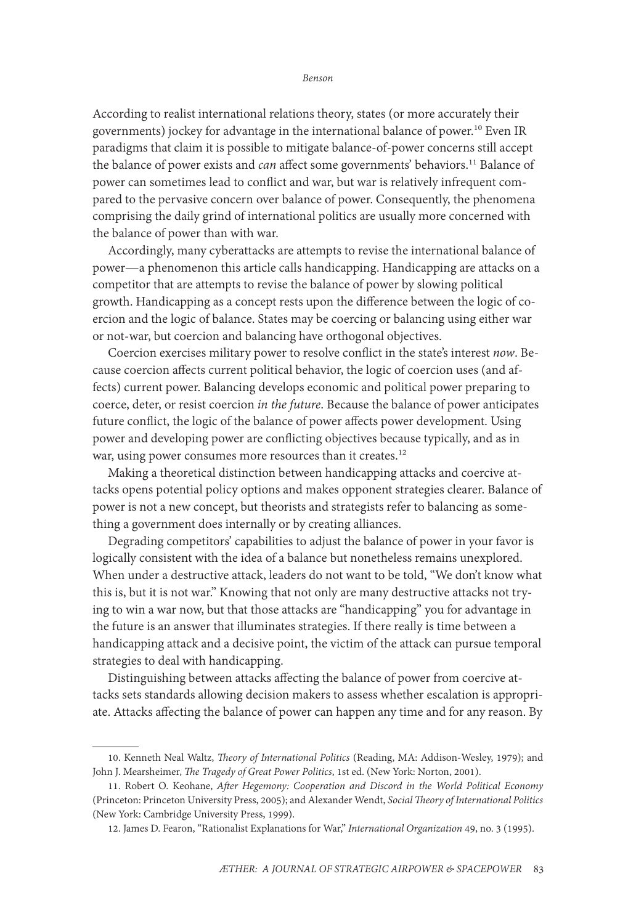According to realist international relations theory, states (or more accurately their governments) jockey for advantage in the international balance of power.<sup>10</sup> Even IR paradigms that claim it is possible to mitigate balance-of-power concerns still accept the balance of power exists and *can* affect some governments' behaviors.<sup>11</sup> Balance of power can sometimes lead to conflict and war, but war is relatively infrequent compared to the pervasive concern over balance of power. Consequently, the phenomena comprising the daily grind of international politics are usually more concerned with the balance of power than with war.

Accordingly, many cyberattacks are attempts to revise the international balance of power—a phenomenon this article calls handicapping. Handicapping are attacks on a competitor that are attempts to revise the balance of power by slowing political growth. Handicapping as a concept rests upon the difference between the logic of coercion and the logic of balance. States may be coercing or balancing using either war or not-war, but coercion and balancing have orthogonal objectives.

Coercion exercises military power to resolve conflict in the state's interest *now*. Because coercion affects current political behavior, the logic of coercion uses (and affects) current power. Balancing develops economic and political power preparing to coerce, deter, or resist coercion *in the future*. Because the balance of power anticipates future conflict, the logic of the balance of power affects power development. Using power and developing power are conflicting objectives because typically, and as in war, using power consumes more resources than it creates.<sup>12</sup>

Making a theoretical distinction between handicapping attacks and coercive attacks opens potential policy options and makes opponent strategies clearer. Balance of power is not a new concept, but theorists and strategists refer to balancing as something a government does internally or by creating alliances.

Degrading competitors' capabilities to adjust the balance of power in your favor is logically consistent with the idea of a balance but nonetheless remains unexplored. When under a destructive attack, leaders do not want to be told, "We don't know what this is, but it is not war." Knowing that not only are many destructive attacks not trying to win a war now, but that those attacks are "handicapping" you for advantage in the future is an answer that illuminates strategies. If there really is time between a handicapping attack and a decisive point, the victim of the attack can pursue temporal strategies to deal with handicapping.

Distinguishing between attacks affecting the balance of power from coercive attacks sets standards allowing decision makers to assess whether escalation is appropriate. Attacks affecting the balance of power can happen any time and for any reason. By

<sup>10.</sup> Kenneth Neal Waltz, *Theory of International Politics* (Reading, MA: Addison-Wesley, 1979); and John J. Mearsheimer, *The Tragedy of Great Power Politics*, 1st ed. (New York: Norton, 2001).

<sup>11.</sup> Robert O. Keohane, *After Hegemony: Cooperation and Discord in the World Political Economy* (Princeton: Princeton University Press, 2005); and Alexander Wendt, *Social Theory of International Politics* (New York: Cambridge University Press, 1999).

<sup>12.</sup> James D. Fearon, "Rationalist Explanations for War," *International Organization* 49, no. 3 (1995).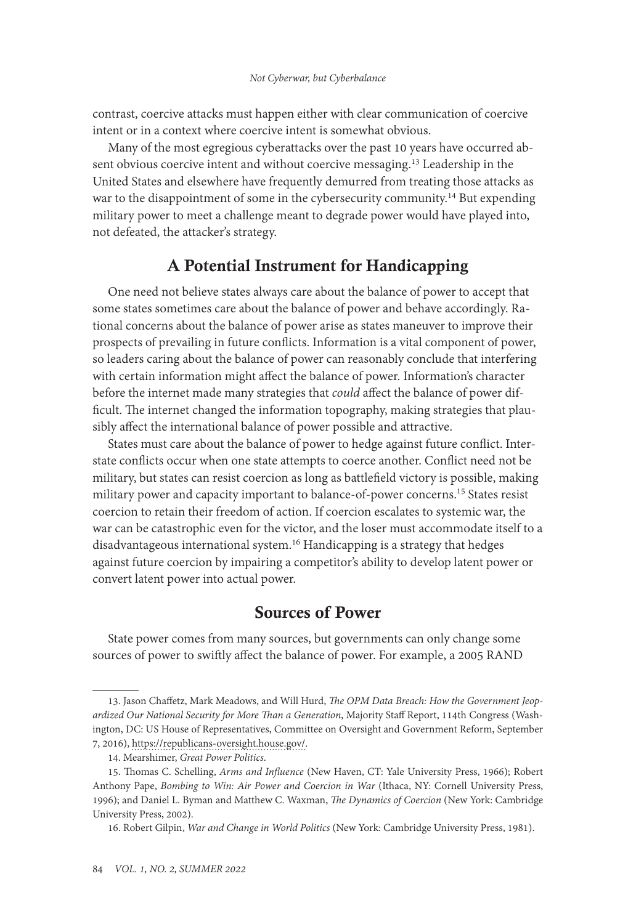contrast, coercive attacks must happen either with clear communication of coercive intent or in a context where coercive intent is somewhat obvious.

Many of the most egregious cyberattacks over the past 10 years have occurred absent obvious coercive intent and without coercive messaging.13 Leadership in the United States and elsewhere have frequently demurred from treating those attacks as war to the disappointment of some in the cybersecurity community.<sup>14</sup> But expending military power to meet a challenge meant to degrade power would have played into, not defeated, the attacker's strategy.

# A Potential Instrument for Handicapping

One need not believe states always care about the balance of power to accept that some states sometimes care about the balance of power and behave accordingly. Rational concerns about the balance of power arise as states maneuver to improve their prospects of prevailing in future conflicts. Information is a vital component of power, so leaders caring about the balance of power can reasonably conclude that interfering with certain information might affect the balance of power. Information's character before the internet made many strategies that *could* affect the balance of power difficult. The internet changed the information topography, making strategies that plausibly affect the international balance of power possible and attractive.

States must care about the balance of power to hedge against future conflict. Interstate conflicts occur when one state attempts to coerce another. Conflict need not be military, but states can resist coercion as long as battlefield victory is possible, making military power and capacity important to balance-of-power concerns.<sup>15</sup> States resist coercion to retain their freedom of action. If coercion escalates to systemic war, the war can be catastrophic even for the victor, and the loser must accommodate itself to a disadvantageous international system.<sup>16</sup> Handicapping is a strategy that hedges against future coercion by impairing a competitor's ability to develop latent power or convert latent power into actual power.

### Sources of Power

State power comes from many sources, but governments can only change some sources of power to swiftly affect the balance of power. For example, a 2005 RAND

<sup>13.</sup> Jason Chaffetz, Mark Meadows, and Will Hurd, *The OPM Data Breach: How the Government Jeopardized Our National Security for More Than a Generation*, Majority Staff Report, 114th Congress (Washington, DC: US House of Representatives, Committee on Oversight and Government Reform, September 7, 2016), [https://republicans-oversight.house.gov/.](https://republicans-oversight.house.gov/wp-content/uploads/2016/09/The-OPM-Data-Breach-How-the-Government-Jeopardized-Our-National-Security-for-More-than-a-Generation.pdf)

<sup>14.</sup> Mearshimer, *Great Power Politics*.

<sup>15.</sup> Thomas C. Schelling, *Arms and Influence* (New Haven, CT: Yale University Press, 1966); Robert Anthony Pape, *Bombing to Win: Air Power and Coercion in War* (Ithaca, NY: Cornell University Press, 1996); and Daniel L. Byman and Matthew C. Waxman, *The Dynamics of Coercion* (New York: Cambridge University Press, 2002).

<sup>16.</sup> Robert Gilpin, *War and Change in World Politics* (New York: Cambridge University Press, 1981).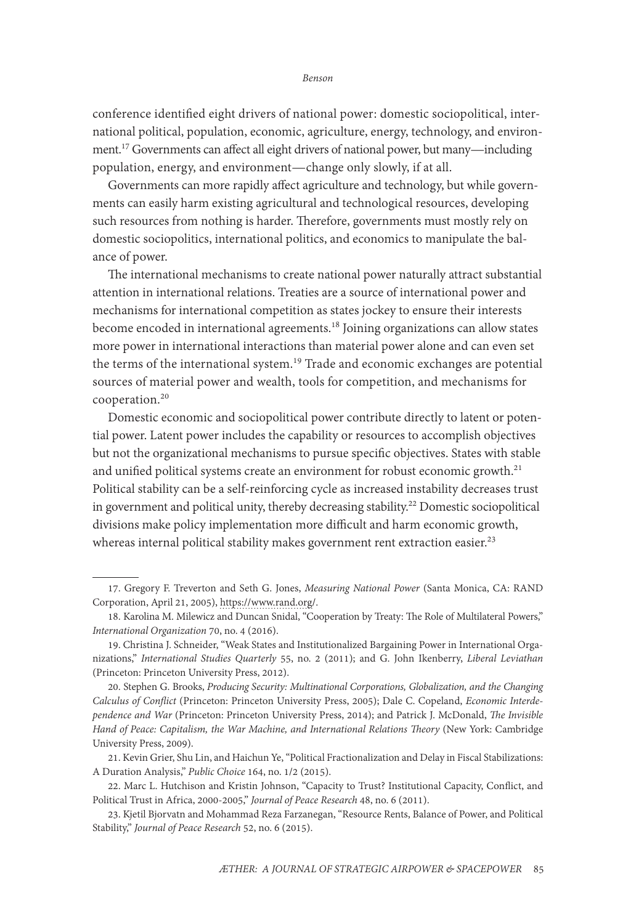conference identified eight drivers of national power: domestic sociopolitical, international political, population, economic, agriculture, energy, technology, and environment.17 Governments can affect all eight drivers of national power, but many—including population, energy, and environment—change only slowly, if at all.

Governments can more rapidly affect agriculture and technology, but while governments can easily harm existing agricultural and technological resources, developing such resources from nothing is harder. Therefore, governments must mostly rely on domestic sociopolitics, international politics, and economics to manipulate the balance of power.

The international mechanisms to create national power naturally attract substantial attention in international relations. Treaties are a source of international power and mechanisms for international competition as states jockey to ensure their interests become encoded in international agreements.18 Joining organizations can allow states more power in international interactions than material power alone and can even set the terms of the international system.<sup>19</sup> Trade and economic exchanges are potential sources of material power and wealth, tools for competition, and mechanisms for cooperation.<sup>20</sup>

Domestic economic and sociopolitical power contribute directly to latent or potential power. Latent power includes the capability or resources to accomplish objectives but not the organizational mechanisms to pursue specific objectives. States with stable and unified political systems create an environment for robust economic growth.<sup>21</sup> Political stability can be a self-reinforcing cycle as increased instability decreases trust in government and political unity, thereby decreasing stability.<sup>22</sup> Domestic sociopolitical divisions make policy implementation more difficult and harm economic growth, whereas internal political stability makes government rent extraction easier.<sup>23</sup>

<sup>17.</sup> Gregory F. Treverton and Seth G. Jones, *Measuring National Power* (Santa Monica, CA: RAND Corporation, April 21, 2005), [https://www.rand.org/.](https://www.rand.org/pubs/conf_proceedings/CF215.html)

<sup>18.</sup> Karolina M. Milewicz and Duncan Snidal, "Cooperation by Treaty: The Role of Multilateral Powers," *International Organization* 70, no. 4 (2016).

<sup>19.</sup> Christina J. Schneider, "Weak States and Institutionalized Bargaining Power in International Organizations," *International Studies Quarterly* 55, no. 2 (2011); and G. John Ikenberry, *Liberal Leviathan* (Princeton: Princeton University Press, 2012).

<sup>20.</sup> Stephen G. Brooks, *Producing Security: Multinational Corporations, Globalization, and the Changing Calculus of Conflict* (Princeton: Princeton University Press, 2005); Dale C. Copeland, *Economic Interdependence and War* (Princeton: Princeton University Press, 2014); and Patrick J. McDonald, *The Invisible Hand of Peace: Capitalism, the War Machine, and International Relations Theory* (New York: Cambridge University Press, 2009).

<sup>21.</sup> Kevin Grier, Shu Lin, and Haichun Ye, "Political Fractionalization and Delay in Fiscal Stabilizations: A Duration Analysis," *Public Choice* 164, no. 1/2 (2015).

<sup>22.</sup> Marc L. Hutchison and Kristin Johnson, "Capacity to Trust? Institutional Capacity, Conflict, and Political Trust in Africa, 2000-2005," *Journal of Peace Research* 48, no. 6 (2011).

<sup>23.</sup> Kjetil Bjorvatn and Mohammad Reza Farzanegan, "Resource Rents, Balance of Power, and Political Stability," *Journal of Peace Research* 52, no. 6 (2015).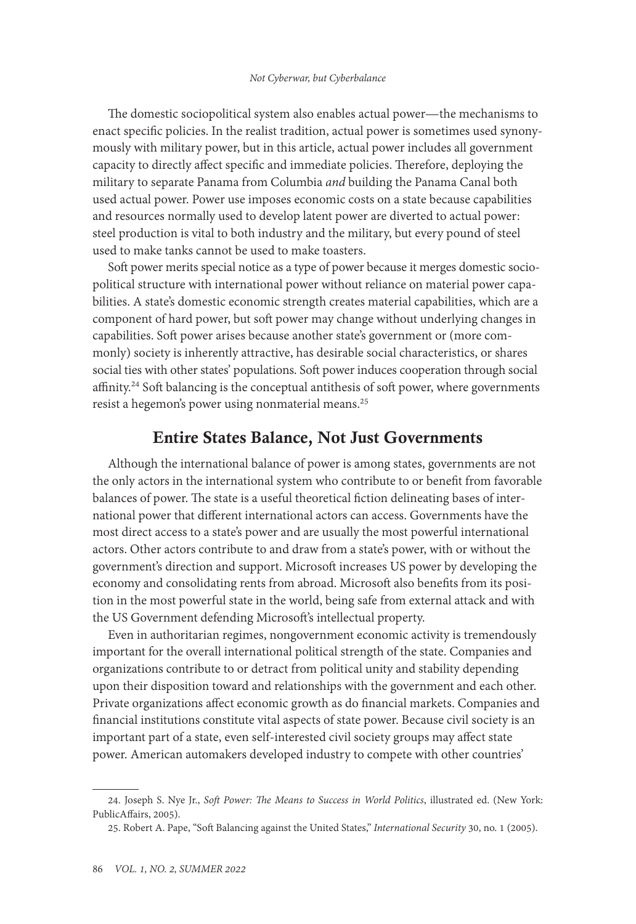The domestic sociopolitical system also enables actual power—the mechanisms to enact specific policies. In the realist tradition, actual power is sometimes used synonymously with military power, but in this article, actual power includes all government capacity to directly affect specific and immediate policies. Therefore, deploying the military to separate Panama from Columbia *and* building the Panama Canal both used actual power. Power use imposes economic costs on a state because capabilities and resources normally used to develop latent power are diverted to actual power: steel production is vital to both industry and the military, but every pound of steel used to make tanks cannot be used to make toasters.

Soft power merits special notice as a type of power because it merges domestic sociopolitical structure with international power without reliance on material power capabilities. A state's domestic economic strength creates material capabilities, which are a component of hard power, but soft power may change without underlying changes in capabilities. Soft power arises because another state's government or (more commonly) society is inherently attractive, has desirable social characteristics, or shares social ties with other states' populations. Soft power induces cooperation through social affinity.<sup>24</sup> Soft balancing is the conceptual antithesis of soft power, where governments resist a hegemon's power using nonmaterial means.<sup>25</sup>

#### Entire States Balance, Not Just Governments

Although the international balance of power is among states, governments are not the only actors in the international system who contribute to or benefit from favorable balances of power. The state is a useful theoretical fiction delineating bases of international power that different international actors can access. Governments have the most direct access to a state's power and are usually the most powerful international actors. Other actors contribute to and draw from a state's power, with or without the government's direction and support. Microsoft increases US power by developing the economy and consolidating rents from abroad. Microsoft also benefits from its position in the most powerful state in the world, being safe from external attack and with the US Government defending Microsoft's intellectual property.

Even in authoritarian regimes, nongovernment economic activity is tremendously important for the overall international political strength of the state. Companies and organizations contribute to or detract from political unity and stability depending upon their disposition toward and relationships with the government and each other. Private organizations affect economic growth as do financial markets. Companies and financial institutions constitute vital aspects of state power. Because civil society is an important part of a state, even self-interested civil society groups may affect state power. American automakers developed industry to compete with other countries'

<sup>24.</sup> Joseph S. Nye Jr., *Soft Power: The Means to Success in World Politics*, illustrated ed. (New York: PublicAffairs, 2005).

<sup>25.</sup> Robert A. Pape, "Soft Balancing against the United States," *International Security* 30, no. 1 (2005).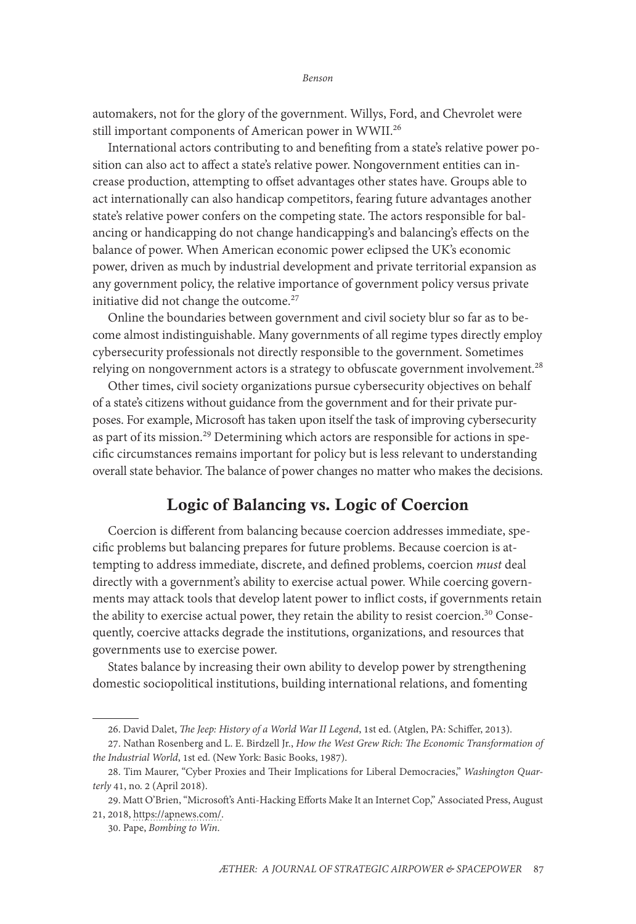automakers, not for the glory of the government. Willys, Ford, and Chevrolet were still important components of American power in WWII.26

International actors contributing to and benefiting from a state's relative power position can also act to affect a state's relative power. Nongovernment entities can increase production, attempting to offset advantages other states have. Groups able to act internationally can also handicap competitors, fearing future advantages another state's relative power confers on the competing state. The actors responsible for balancing or handicapping do not change handicapping's and balancing's effects on the balance of power. When American economic power eclipsed the UK's economic power, driven as much by industrial development and private territorial expansion as any government policy, the relative importance of government policy versus private initiative did not change the outcome.<sup>27</sup>

Online the boundaries between government and civil society blur so far as to become almost indistinguishable. Many governments of all regime types directly employ cybersecurity professionals not directly responsible to the government. Sometimes relying on nongovernment actors is a strategy to obfuscate government involvement.<sup>28</sup>

Other times, civil society organizations pursue cybersecurity objectives on behalf of a state's citizens without guidance from the government and for their private purposes. For example, Microsoft has taken upon itself the task of improving cybersecurity as part of its mission.<sup>29</sup> Determining which actors are responsible for actions in specific circumstances remains important for policy but is less relevant to understanding overall state behavior. The balance of power changes no matter who makes the decisions.

# Logic of Balancing vs. Logic of Coercion

Coercion is different from balancing because coercion addresses immediate, specific problems but balancing prepares for future problems. Because coercion is attempting to address immediate, discrete, and defined problems, coercion *must* deal directly with a government's ability to exercise actual power. While coercing governments may attack tools that develop latent power to inflict costs, if governments retain the ability to exercise actual power, they retain the ability to resist coercion.<sup>30</sup> Consequently, coercive attacks degrade the institutions, organizations, and resources that governments use to exercise power.

States balance by increasing their own ability to develop power by strengthening domestic sociopolitical institutions, building international relations, and fomenting

<sup>26.</sup> David Dalet, *The Jeep: History of a World War II Legend*, 1st ed. (Atglen, PA: Schiffer, 2013).

<sup>27.</sup> Nathan Rosenberg and L. E. Birdzell Jr., *How the West Grew Rich: The Economic Transformation of the Industrial World*, 1st ed. (New York: Basic Books, 1987).

<sup>28.</sup> Tim Maurer, "Cyber Proxies and Their Implications for Liberal Democracies," *Washington Quarterly* 41, no. 2 (April 2018).

<sup>29.</sup> Matt O'Brien, "Microsoft's Anti-Hacking Efforts Make It an Internet Cop," Associated Press, August 21, 2018, [https://apnews.com/](https://apnews.com/191032549cca44b9b1b74e1d130a04e5).

<sup>30.</sup> Pape, *Bombing to Win*.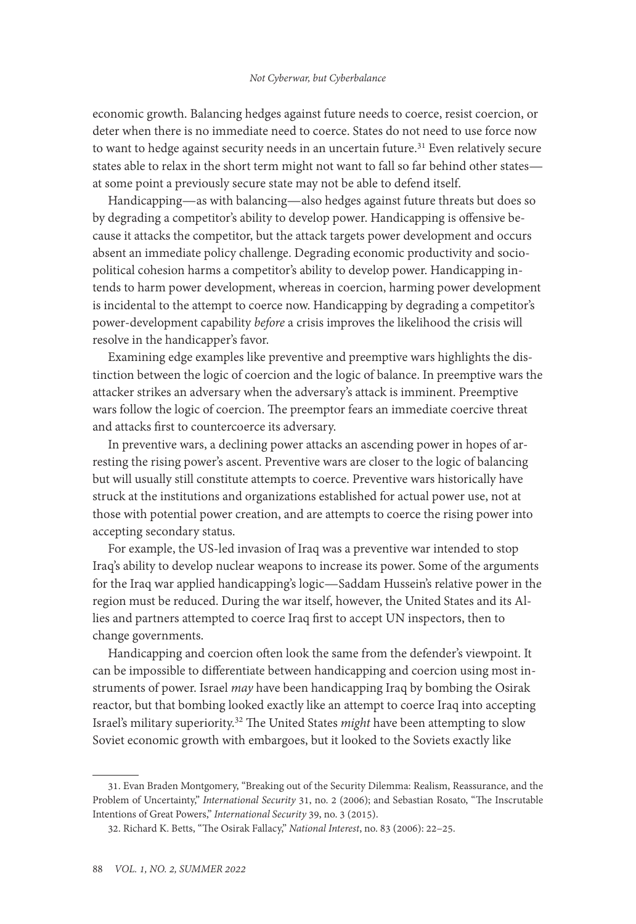economic growth. Balancing hedges against future needs to coerce, resist coercion, or deter when there is no immediate need to coerce. States do not need to use force now to want to hedge against security needs in an uncertain future.<sup>31</sup> Even relatively secure states able to relax in the short term might not want to fall so far behind other states at some point a previously secure state may not be able to defend itself.

Handicapping—as with balancing—also hedges against future threats but does so by degrading a competitor's ability to develop power. Handicapping is offensive because it attacks the competitor, but the attack targets power development and occurs absent an immediate policy challenge. Degrading economic productivity and sociopolitical cohesion harms a competitor's ability to develop power. Handicapping intends to harm power development, whereas in coercion, harming power development is incidental to the attempt to coerce now. Handicapping by degrading a competitor's power-development capability *before* a crisis improves the likelihood the crisis will resolve in the handicapper's favor.

Examining edge examples like preventive and preemptive wars highlights the distinction between the logic of coercion and the logic of balance. In preemptive wars the attacker strikes an adversary when the adversary's attack is imminent. Preemptive wars follow the logic of coercion. The preemptor fears an immediate coercive threat and attacks first to countercoerce its adversary.

In preventive wars, a declining power attacks an ascending power in hopes of arresting the rising power's ascent. Preventive wars are closer to the logic of balancing but will usually still constitute attempts to coerce. Preventive wars historically have struck at the institutions and organizations established for actual power use, not at those with potential power creation, and are attempts to coerce the rising power into accepting secondary status.

For example, the US-led invasion of Iraq was a preventive war intended to stop Iraq's ability to develop nuclear weapons to increase its power. Some of the arguments for the Iraq war applied handicapping's logic—Saddam Hussein's relative power in the region must be reduced. During the war itself, however, the United States and its Allies and partners attempted to coerce Iraq first to accept UN inspectors, then to change governments.

Handicapping and coercion often look the same from the defender's viewpoint. It can be impossible to differentiate between handicapping and coercion using most instruments of power. Israel *may* have been handicapping Iraq by bombing the Osirak reactor, but that bombing looked exactly like an attempt to coerce Iraq into accepting Israel's military superiority.32 The United States *might* have been attempting to slow Soviet economic growth with embargoes, but it looked to the Soviets exactly like

<sup>31.</sup> Evan Braden Montgomery, "Breaking out of the Security Dilemma: Realism, Reassurance, and the Problem of Uncertainty," *International Security* 31, no. 2 (2006); and Sebastian Rosato, "The Inscrutable Intentions of Great Powers," *International Security* 39, no. 3 (2015).

<sup>32.</sup> Richard K. Betts, "The Osirak Fallacy," *National Interest*, no. 83 (2006): 22–25.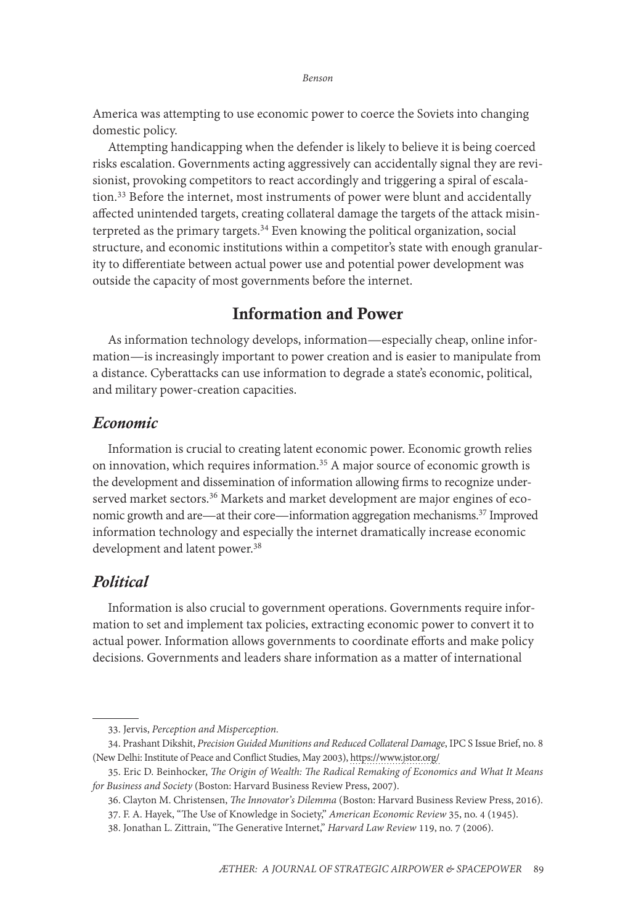America was attempting to use economic power to coerce the Soviets into changing domestic policy.

Attempting handicapping when the defender is likely to believe it is being coerced risks escalation. Governments acting aggressively can accidentally signal they are revisionist, provoking competitors to react accordingly and triggering a spiral of escalation.<sup>33</sup> Before the internet, most instruments of power were blunt and accidentally affected unintended targets, creating collateral damage the targets of the attack misinterpreted as the primary targets.<sup>34</sup> Even knowing the political organization, social structure, and economic institutions within a competitor's state with enough granularity to differentiate between actual power use and potential power development was outside the capacity of most governments before the internet.

### Information and Power

As information technology develops, information—especially cheap, online information—is increasingly important to power creation and is easier to manipulate from a distance. Cyberattacks can use information to degrade a state's economic, political, and military power-creation capacities.

#### *Economic*

Information is crucial to creating latent economic power. Economic growth relies on innovation, which requires information.<sup>35</sup> A major source of economic growth is the development and dissemination of information allowing firms to recognize underserved market sectors.<sup>36</sup> Markets and market development are major engines of economic growth and are—at their core—information aggregation mechanisms.<sup>37</sup> Improved information technology and especially the internet dramatically increase economic development and latent power.<sup>38</sup>

### *Political*

Information is also crucial to government operations. Governments require information to set and implement tax policies, extracting economic power to convert it to actual power. Information allows governments to coordinate efforts and make policy decisions. Governments and leaders share information as a matter of international

<sup>33.</sup> Jervis, *Perception and Misperception.*

<sup>34.</sup> Prashant Dikshit, *Precision Guided Munitions and Reduced Collateral Damage*, IPC S Issue Brief, no. 8 (New Delhi: Institute of Peace and Conflict Studies, May 2003), [https://www.jstor.org/](https://www.jstor.org/stable/resrep09165?seq=1/)

<sup>35.</sup> Eric D. Beinhocker, *The Origin of Wealth: The Radical Remaking of Economics and What It Means for Business and Society* (Boston: Harvard Business Review Press, 2007).

<sup>36.</sup> Clayton M. Christensen, *The Innovator's Dilemma* (Boston: Harvard Business Review Press, 2016). 37. F. A. Hayek, "The Use of Knowledge in Society," *American Economic Review* 35, no. 4 (1945).

<sup>38.</sup> Jonathan L. Zittrain, "The Generative Internet," *Harvard Law Review* 119, no. 7 (2006).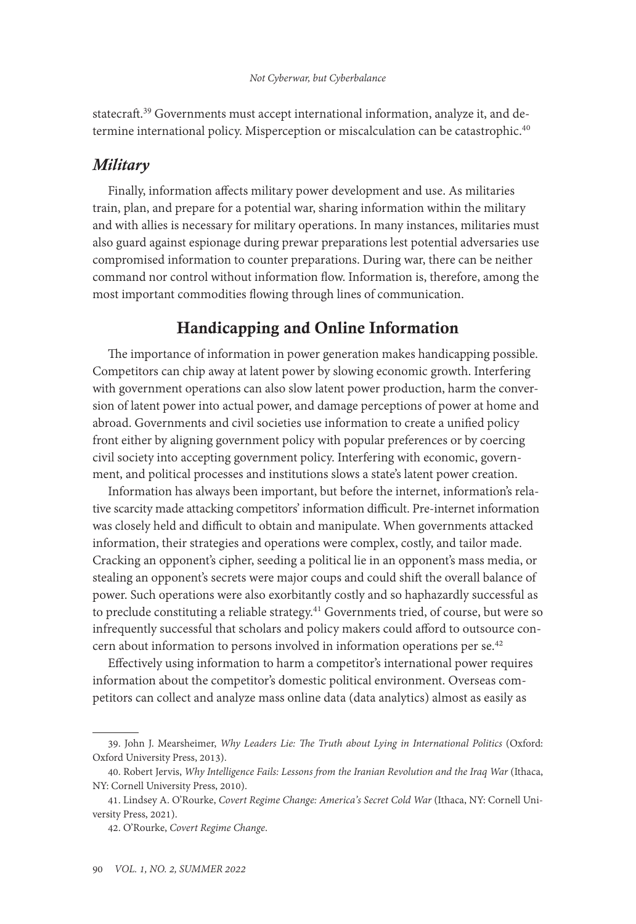statecraft.<sup>39</sup> Governments must accept international information, analyze it, and determine international policy. Misperception or miscalculation can be catastrophic.<sup>40</sup>

### *Military*

Finally, information affects military power development and use. As militaries train, plan, and prepare for a potential war, sharing information within the military and with allies is necessary for military operations. In many instances, militaries must also guard against espionage during prewar preparations lest potential adversaries use compromised information to counter preparations. During war, there can be neither command nor control without information flow. Information is, therefore, among the most important commodities flowing through lines of communication.

# Handicapping and Online Information

The importance of information in power generation makes handicapping possible. Competitors can chip away at latent power by slowing economic growth. Interfering with government operations can also slow latent power production, harm the conversion of latent power into actual power, and damage perceptions of power at home and abroad. Governments and civil societies use information to create a unified policy front either by aligning government policy with popular preferences or by coercing civil society into accepting government policy. Interfering with economic, government, and political processes and institutions slows a state's latent power creation.

Information has always been important, but before the internet, information's relative scarcity made attacking competitors' information difficult. Pre-internet information was closely held and difficult to obtain and manipulate. When governments attacked information, their strategies and operations were complex, costly, and tailor made. Cracking an opponent's cipher, seeding a political lie in an opponent's mass media, or stealing an opponent's secrets were major coups and could shift the overall balance of power. Such operations were also exorbitantly costly and so haphazardly successful as to preclude constituting a reliable strategy.<sup>41</sup> Governments tried, of course, but were so infrequently successful that scholars and policy makers could afford to outsource concern about information to persons involved in information operations per se.<sup>42</sup>

Effectively using information to harm a competitor's international power requires information about the competitor's domestic political environment. Overseas competitors can collect and analyze mass online data (data analytics) almost as easily as

<sup>39.</sup> John J. Mearsheimer, *Why Leaders Lie: The Truth about Lying in International Politics* (Oxford: Oxford University Press, 2013).

<sup>40.</sup> Robert Jervis, *Why Intelligence Fails: Lessons from the Iranian Revolution and the Iraq War* (Ithaca, NY: Cornell University Press, 2010).

<sup>41.</sup> Lindsey A. O'Rourke, *Covert Regime Change: America's Secret Cold War* (Ithaca, NY: Cornell University Press, 2021).

<sup>42.</sup> O'Rourke, *Covert Regime Change*.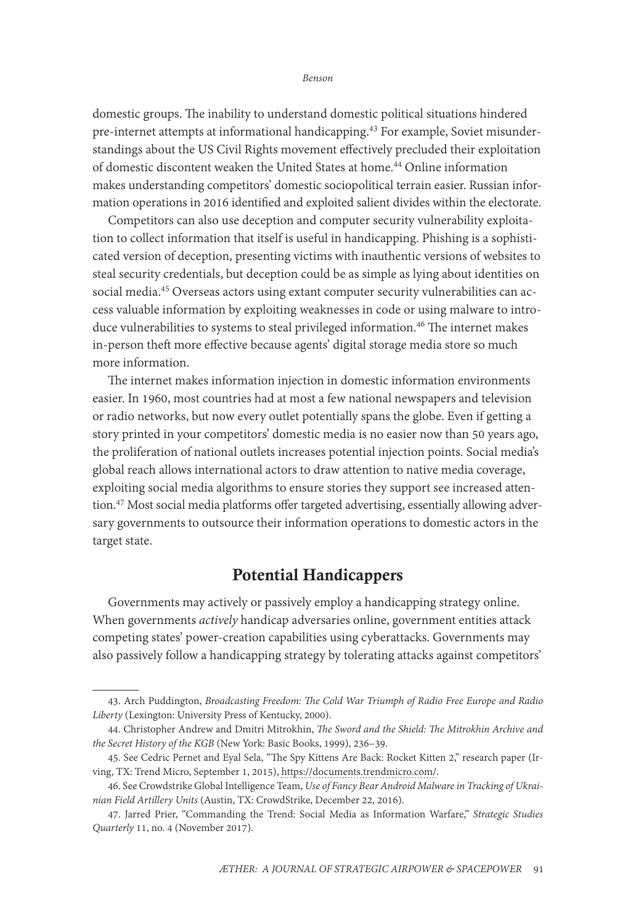domestic groups. The inability to understand domestic political situations hindered pre-internet attempts at informational handicapping.43 For example, Soviet misunderstandings about the US Civil Rights movement effectively precluded their exploitation of domestic discontent weaken the United States at home.44 Online information makes understanding competitors' domestic sociopolitical terrain easier. Russian information operations in 2016 identified and exploited salient divides within the electorate.

Competitors can also use deception and computer security vulnerability exploitation to collect information that itself is useful in handicapping. Phishing is a sophisticated version of deception, presenting victims with inauthentic versions of websites to steal security credentials, but deception could be as simple as lying about identities on social media.45 Overseas actors using extant computer security vulnerabilities can access valuable information by exploiting weaknesses in code or using malware to introduce vulnerabilities to systems to steal privileged information.<sup>46</sup> The internet makes in-person theft more effective because agents' digital storage media store so much more information.

The internet makes information injection in domestic information environments easier. In 1960, most countries had at most a few national newspapers and television or radio networks, but now every outlet potentially spans the globe. Even if getting a story printed in your competitors' domestic media is no easier now than 50 years ago, the proliferation of national outlets increases potential injection points. Social media's global reach allows international actors to draw attention to native media coverage, exploiting social media algorithms to ensure stories they support see increased attention.47 Most social media platforms offer targeted advertising, essentially allowing adversary governments to outsource their information operations to domestic actors in the target state.

# Potential Handicappers

Governments may actively or passively employ a handicapping strategy online. When governments *actively* handicap adversaries online, government entities attack competing states' power-creation capabilities using cyberattacks. Governments may also passively follow a handicapping strategy by tolerating attacks against competitors'

<sup>43.</sup> Arch Puddington, *Broadcasting Freedom: The Cold War Triumph of Radio Free Europe and Radio Liberty* (Lexington: University Press of Kentucky, 2000).

<sup>44.</sup> Christopher Andrew and Dmitri Mitrokhin, *The Sword and the Shield: The Mitrokhin Archive and the Secret History of the KGB* (New York: Basic Books, 1999), 236–39.

<sup>45.</sup> See Cedric Pernet and Eyal Sela, "The Spy Kittens Are Back: Rocket Kitten 2," research paper (Irving, TX: Trend Micro, September 1, 2015), [https://documents.trendmicro.com/.](https://documents.trendmicro.com/assets/wp/wp-the-spy-kittens-are-back.pdf)

<sup>46.</sup> See Crowdstrike Global Intelligence Team, *Use of Fancy Bear Android Malware in Tracking of Ukrainian Field Artillery Units* (Austin, TX: CrowdStrike, December 22, 2016).

<sup>47.</sup> Jarred Prier, "Commanding the Trend: Social Media as Information Warfare," *Strategic Studies Quarterly* 11, no. 4 (November 2017).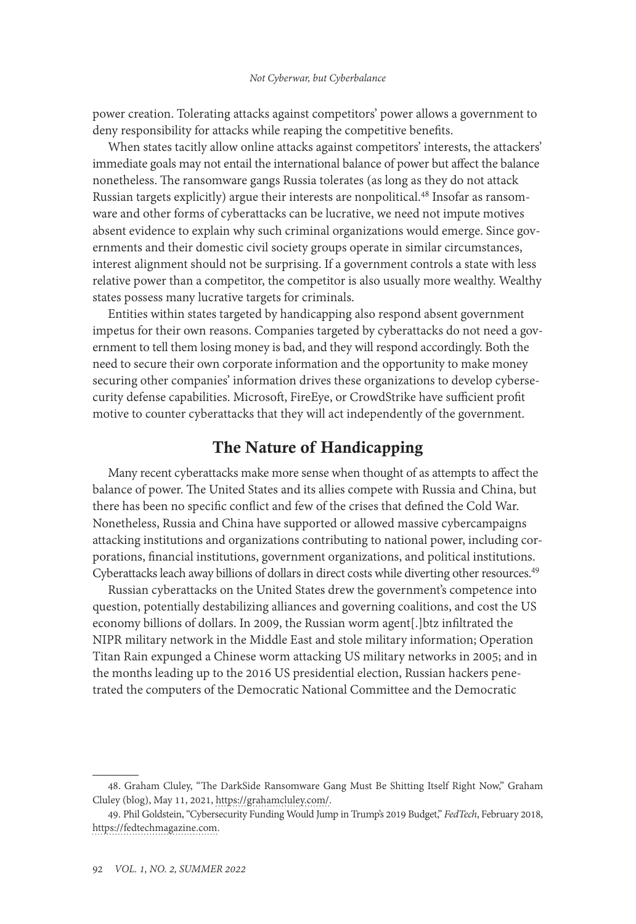power creation. Tolerating attacks against competitors' power allows a government to deny responsibility for attacks while reaping the competitive benefits.

When states tacitly allow online attacks against competitors' interests, the attackers' immediate goals may not entail the international balance of power but affect the balance nonetheless. The ransomware gangs Russia tolerates (as long as they do not attack Russian targets explicitly) argue their interests are nonpolitical.<sup>48</sup> Insofar as ransomware and other forms of cyberattacks can be lucrative, we need not impute motives absent evidence to explain why such criminal organizations would emerge. Since governments and their domestic civil society groups operate in similar circumstances, interest alignment should not be surprising. If a government controls a state with less relative power than a competitor, the competitor is also usually more wealthy. Wealthy states possess many lucrative targets for criminals.

Entities within states targeted by handicapping also respond absent government impetus for their own reasons. Companies targeted by cyberattacks do not need a government to tell them losing money is bad, and they will respond accordingly. Both the need to secure their own corporate information and the opportunity to make money securing other companies' information drives these organizations to develop cybersecurity defense capabilities. Microsoft, FireEye, or CrowdStrike have sufficient profit motive to counter cyberattacks that they will act independently of the government.

### The Nature of Handicapping

Many recent cyberattacks make more sense when thought of as attempts to affect the balance of power. The United States and its allies compete with Russia and China, but there has been no specific conflict and few of the crises that defined the Cold War. Nonetheless, Russia and China have supported or allowed massive cybercampaigns attacking institutions and organizations contributing to national power, including corporations, financial institutions, government organizations, and political institutions. Cyberattacks leach away billions of dollars in direct costs while diverting other resources.<sup>49</sup>

Russian cyberattacks on the United States drew the government's competence into question, potentially destabilizing alliances and governing coalitions, and cost the US economy billions of dollars. In 2009, the Russian worm agent[.]btz infiltrated the NIPR military network in the Middle East and stole military information; Operation Titan Rain expunged a Chinese worm attacking US military networks in 2005; and in the months leading up to the 2016 US presidential election, Russian hackers penetrated the computers of the Democratic National Committee and the Democratic

<sup>48.</sup> Graham Cluley, "The DarkSide Ransomware Gang Must Be Shitting Itself Right Now," Graham Cluley (blog), May 11, 2021, [https://grahamcluley.com/](https://grahamcluley.com/darkside-ransomware-gang-fear/).

<sup>49.</sup> Phil Goldstein, "Cybersecurity Funding Would Jump in Trump's 2019 Budget," *FedTech*, February 2018, [https://fedtechmagazine.com](https://fedtechmagazine.com/article/2018/02/cybersecurity-funding-would-jump-trumps-2019-budget).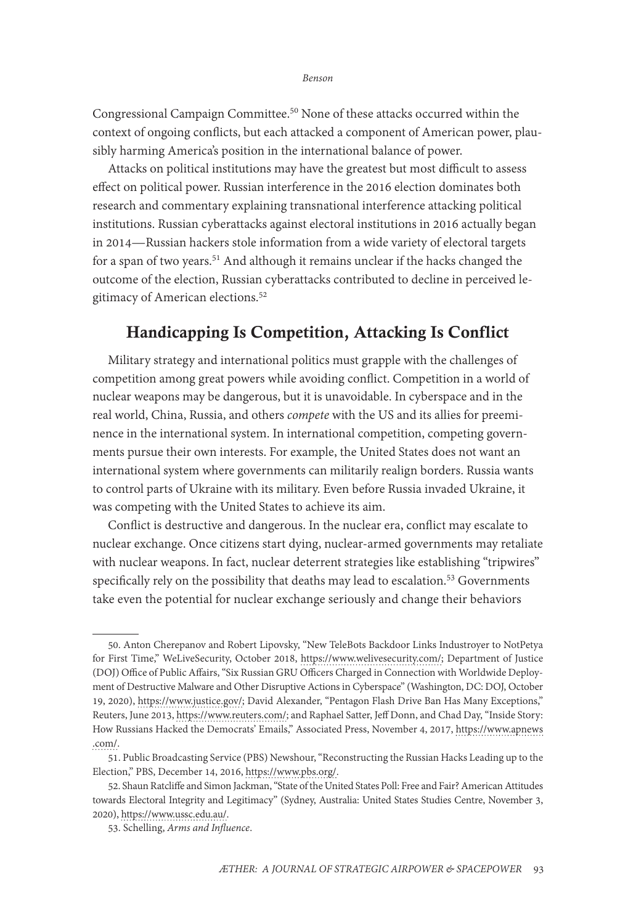Congressional Campaign Committee.50 None of these attacks occurred within the context of ongoing conflicts, but each attacked a component of American power, plausibly harming America's position in the international balance of power.

Attacks on political institutions may have the greatest but most difficult to assess effect on political power. Russian interference in the 2016 election dominates both research and commentary explaining transnational interference attacking political institutions. Russian cyberattacks against electoral institutions in 2016 actually began in 2014—Russian hackers stole information from a wide variety of electoral targets for a span of two years.<sup>51</sup> And although it remains unclear if the hacks changed the outcome of the election, Russian cyberattacks contributed to decline in perceived legitimacy of American elections.52

## Handicapping Is Competition, Attacking Is Conflict

Military strategy and international politics must grapple with the challenges of competition among great powers while avoiding conflict. Competition in a world of nuclear weapons may be dangerous, but it is unavoidable. In cyberspace and in the real world, China, Russia, and others *compete* with the US and its allies for preeminence in the international system. In international competition, competing governments pursue their own interests. For example, the United States does not want an international system where governments can militarily realign borders. Russia wants to control parts of Ukraine with its military. Even before Russia invaded Ukraine, it was competing with the United States to achieve its aim.

Conflict is destructive and dangerous. In the nuclear era, conflict may escalate to nuclear exchange. Once citizens start dying, nuclear-armed governments may retaliate with nuclear weapons. In fact, nuclear deterrent strategies like establishing "tripwires" specifically rely on the possibility that deaths may lead to escalation.<sup>53</sup> Governments take even the potential for nuclear exchange seriously and change their behaviors

<sup>50.</sup> Anton Cherepanov and Robert Lipovsky, "New TeleBots Backdoor Links Industroyer to NotPetya for First Time," WeLiveSecurity, October 2018, [https://www.welivesecurity.com/;](https://www.welivesecurity.com/2018/10/11/new-telebots-backdoor-linking-industroyer-notpetya/) Department of Justice (DOJ) Office of Public Affairs, "Six Russian GRU Officers Charged in Connection with Worldwide Deployment of Destructive Malware and Other Disruptive Actions in Cyberspace" (Washington, DC: DOJ, October 19, 2020), [https://www.justice.gov/;](https://www.justice.gov/opa/pr/six-russian-gru-officers-charged-connection-worldwide-deployment-destructive-malware-and) David Alexander, "Pentagon Flash Drive Ban Has Many Exceptions," Reuters, June 2013, [https://www.reuters.com/;](https://www.reuters.com/article/us-usa-security-pentagon-idUSBRE95L06520130622) and Raphael Satter, Jeff Donn, and Chad Day, "Inside Story: How Russians Hacked the Democrats' Emails," Associated Press, November 4, 2017, [https://www.apnews](https://www.apnews.com/dea73efc01594839957c3c9a6c962b8a) [.com/](https://www.apnews.com/dea73efc01594839957c3c9a6c962b8a).

<sup>51.</sup> Public Broadcasting Service (PBS) Newshour, "Reconstructing the Russian Hacks Leading up to the Election," PBS, December 14, 2016, [https://www.pbs.org/.](https://www.pbs.org/newshour/show/reconstructing-russian-hacks-leading-election)

<sup>52.</sup> Shaun Ratcliffe and Simon Jackman, "State of the United States Poll: Free and Fair? American Attitudes towards Electoral Integrity and Legitimacy" (Sydney, Australia: United States Studies Centre, November 3, 2020), [https://www.ussc.edu.au/](https://www.ussc.edu.au/analysis/free-and-fair-american-attitudes-towards-electoral-integrity-and-legitimacy).

<sup>53.</sup> Schelling, *Arms and Influence*.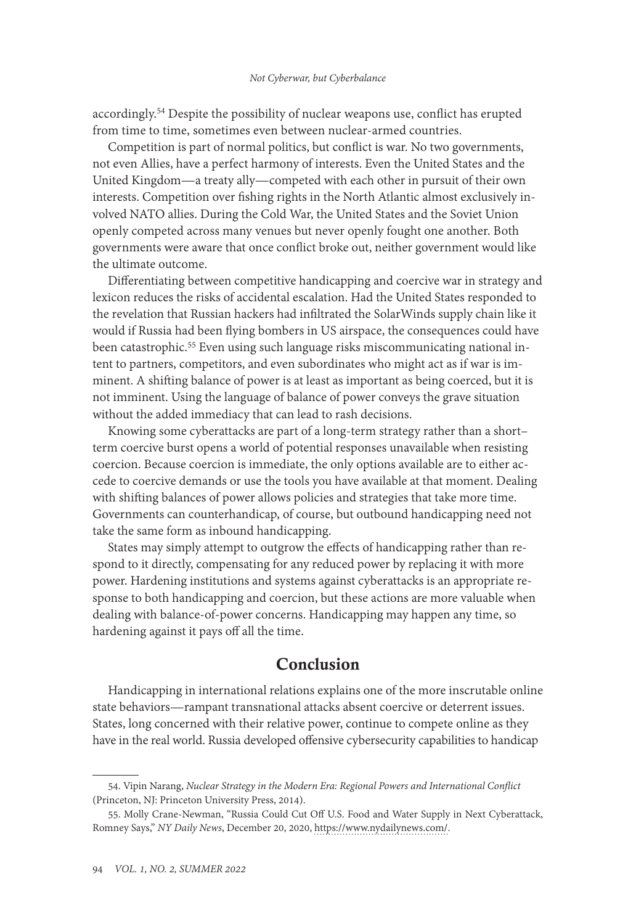accordingly.<sup>54</sup> Despite the possibility of nuclear weapons use, conflict has erupted from time to time, sometimes even between nuclear-armed countries.

Competition is part of normal politics, but conflict is war. No two governments, not even Allies, have a perfect harmony of interests. Even the United States and the United Kingdom—a treaty ally—competed with each other in pursuit of their own interests. Competition over fishing rights in the North Atlantic almost exclusively involved NATO allies. During the Cold War, the United States and the Soviet Union openly competed across many venues but never openly fought one another. Both governments were aware that once conflict broke out, neither government would like the ultimate outcome.

Differentiating between competitive handicapping and coercive war in strategy and lexicon reduces the risks of accidental escalation. Had the United States responded to the revelation that Russian hackers had infiltrated the SolarWinds supply chain like it would if Russia had been flying bombers in US airspace, the consequences could have been catastrophic.<sup>55</sup> Even using such language risks miscommunicating national intent to partners, competitors, and even subordinates who might act as if war is imminent. A shifting balance of power is at least as important as being coerced, but it is not imminent. Using the language of balance of power conveys the grave situation without the added immediacy that can lead to rash decisions.

Knowing some cyberattacks are part of a long-term strategy rather than a short– term coercive burst opens a world of potential responses unavailable when resisting coercion. Because coercion is immediate, the only options available are to either accede to coercive demands or use the tools you have available at that moment. Dealing with shifting balances of power allows policies and strategies that take more time. Governments can counterhandicap, of course, but outbound handicapping need not take the same form as inbound handicapping.

States may simply attempt to outgrow the effects of handicapping rather than respond to it directly, compensating for any reduced power by replacing it with more power. Hardening institutions and systems against cyberattacks is an appropriate response to both handicapping and coercion, but these actions are more valuable when dealing with balance-of-power concerns. Handicapping may happen any time, so hardening against it pays off all the time.

### Conclusion

Handicapping in international relations explains one of the more inscrutable online state behaviors—rampant transnational attacks absent coercive or deterrent issues. States, long concerned with their relative power, continue to compete online as they have in the real world. Russia developed offensive cybersecurity capabilities to handicap

<sup>54.</sup> Vipin Narang, *Nuclear Strategy in the Modern Era: Regional Powers and International Conflict* (Princeton, NJ: Princeton University Press, 2014).

<sup>55.</sup> Molly Crane-Newman, "Russia Could Cut Off U.S. Food and Water Supply in Next Cyberattack, Romney Says," *NY Daily News*, December 20, 2020, [https://www.nydailynews.com/.](https://www.nydailynews.com/news/politics/us-elections-government/ny-mitt-romney-meet-the-press-russia-cyber-attack-20201220-a7ywsram7rbarnwh4aozc7hsxu-story.html)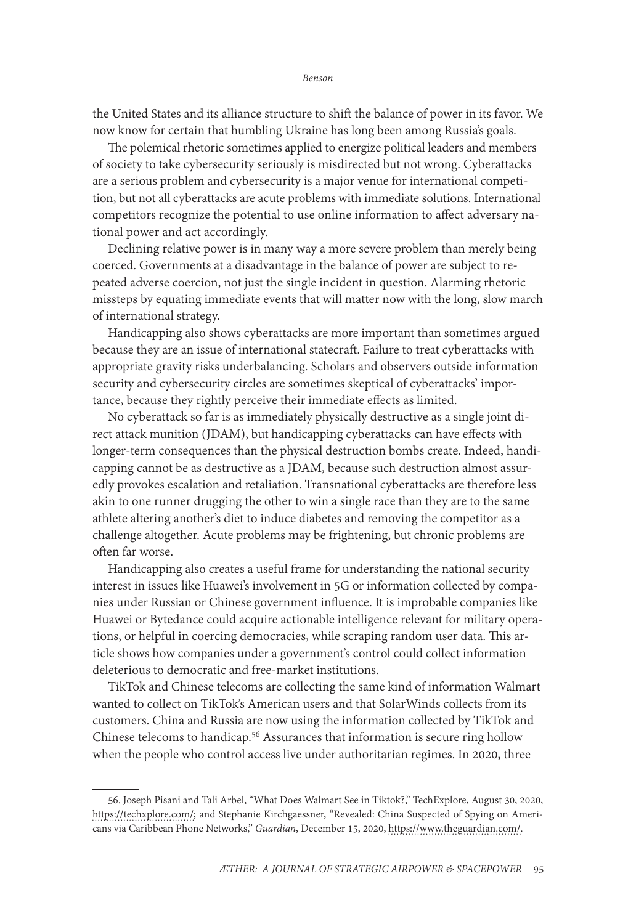the United States and its alliance structure to shift the balance of power in its favor. We now know for certain that humbling Ukraine has long been among Russia's goals.

The polemical rhetoric sometimes applied to energize political leaders and members of society to take cybersecurity seriously is misdirected but not wrong. Cyberattacks are a serious problem and cybersecurity is a major venue for international competition, but not all cyberattacks are acute problems with immediate solutions. International competitors recognize the potential to use online information to affect adversary national power and act accordingly.

Declining relative power is in many way a more severe problem than merely being coerced. Governments at a disadvantage in the balance of power are subject to repeated adverse coercion, not just the single incident in question. Alarming rhetoric missteps by equating immediate events that will matter now with the long, slow march of international strategy.

Handicapping also shows cyberattacks are more important than sometimes argued because they are an issue of international statecraft. Failure to treat cyberattacks with appropriate gravity risks underbalancing. Scholars and observers outside information security and cybersecurity circles are sometimes skeptical of cyberattacks' importance, because they rightly perceive their immediate effects as limited.

No cyberattack so far is as immediately physically destructive as a single joint direct attack munition (JDAM), but handicapping cyberattacks can have effects with longer-term consequences than the physical destruction bombs create. Indeed, handicapping cannot be as destructive as a JDAM, because such destruction almost assuredly provokes escalation and retaliation. Transnational cyberattacks are therefore less akin to one runner drugging the other to win a single race than they are to the same athlete altering another's diet to induce diabetes and removing the competitor as a challenge altogether. Acute problems may be frightening, but chronic problems are often far worse.

Handicapping also creates a useful frame for understanding the national security interest in issues like Huawei's involvement in 5G or information collected by companies under Russian or Chinese government influence. It is improbable companies like Huawei or Bytedance could acquire actionable intelligence relevant for military operations, or helpful in coercing democracies, while scraping random user data. This article shows how companies under a government's control could collect information deleterious to democratic and free-market institutions.

TikTok and Chinese telecoms are collecting the same kind of information Walmart wanted to collect on TikTok's American users and that SolarWinds collects from its customers. China and Russia are now using the information collected by TikTok and Chinese telecoms to handicap.<sup>56</sup> Assurances that information is secure ring hollow when the people who control access live under authoritarian regimes. In 2020, three

<sup>56.</sup> Joseph Pisani and Tali Arbel, "What Does Walmart See in Tiktok?," TechExplore, August 30, 2020, [https://techxplore.com/;](https://techxplore.com/news/2020-08-walmart-tiktok-millions-young-shoppers.html) and Stephanie Kirchgaessner, "Revealed: China Suspected of Spying on Americans via Caribbean Phone Networks," *Guardian*, December 15, 2020, [https://www.theguardian.com/](https://www.theguardian.com/us-news/2020/dec/15/revealed-china-suspected-of-spying-on-americans-via-caribbean-phone-networks).